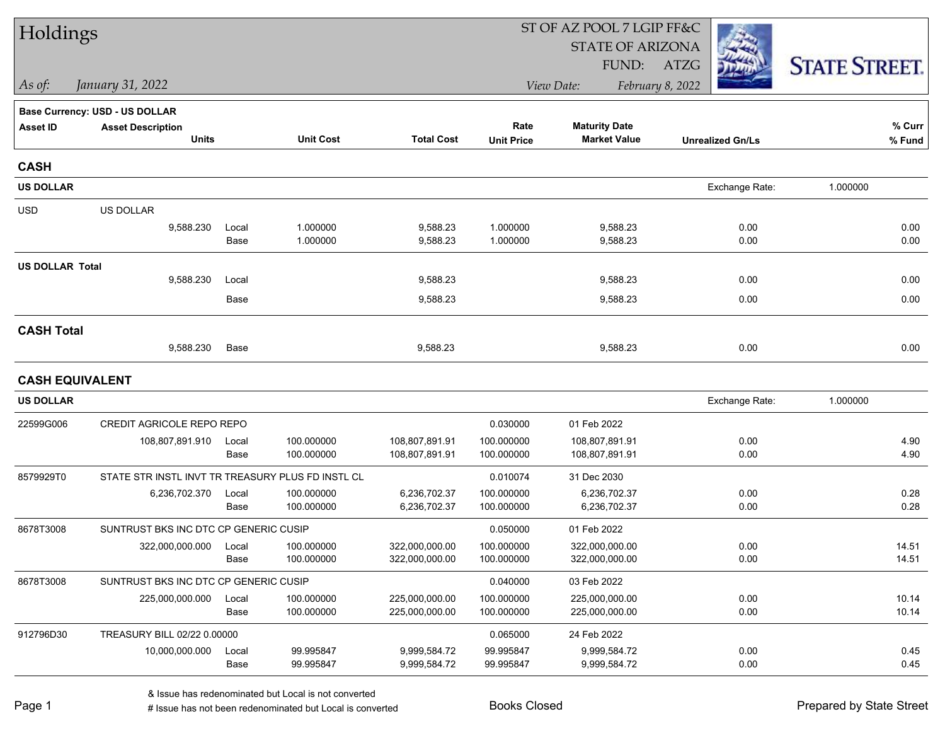| Holdings               |                                                   |               |                          |                                  |                          | ST OF AZ POOL 7 LGIP FF&C        |                         |                      |
|------------------------|---------------------------------------------------|---------------|--------------------------|----------------------------------|--------------------------|----------------------------------|-------------------------|----------------------|
|                        |                                                   |               |                          |                                  |                          | <b>STATE OF ARIZONA</b>          |                         |                      |
|                        |                                                   |               |                          |                                  |                          | FUND:                            | ATZG                    | <b>STATE STREET.</b> |
| As of:                 | January 31, 2022                                  |               |                          |                                  |                          | View Date:                       | February 8, 2022        |                      |
|                        | <b>Base Currency: USD - US DOLLAR</b>             |               |                          |                                  |                          |                                  |                         |                      |
| <b>Asset ID</b>        | <b>Asset Description</b>                          |               |                          | <b>Total Cost</b>                | Rate                     | <b>Maturity Date</b>             |                         | % Curr               |
|                        | <b>Units</b>                                      |               | <b>Unit Cost</b>         |                                  | <b>Unit Price</b>        | <b>Market Value</b>              | <b>Unrealized Gn/Ls</b> | % Fund               |
| <b>CASH</b>            |                                                   |               |                          |                                  |                          |                                  |                         |                      |
| <b>US DOLLAR</b>       |                                                   |               |                          |                                  |                          |                                  | Exchange Rate:          | 1.000000             |
| <b>USD</b>             | US DOLLAR                                         |               |                          |                                  |                          |                                  |                         |                      |
|                        | 9,588.230                                         | Local         | 1.000000                 | 9,588.23                         | 1.000000                 | 9,588.23                         | 0.00                    | 0.00                 |
|                        |                                                   | Base          | 1.000000                 | 9,588.23                         | 1.000000                 | 9,588.23                         | 0.00                    | 0.00                 |
| <b>US DOLLAR Total</b> |                                                   |               |                          |                                  |                          |                                  |                         |                      |
|                        | 9,588.230                                         | Local         |                          | 9,588.23                         |                          | 9,588.23                         | 0.00                    | 0.00                 |
|                        |                                                   | Base          |                          | 9,588.23                         |                          | 9,588.23                         | 0.00                    | 0.00                 |
| <b>CASH Total</b>      |                                                   |               |                          |                                  |                          |                                  |                         |                      |
|                        | 9,588.230                                         | Base          |                          | 9,588.23                         |                          | 9,588.23                         | 0.00                    | 0.00                 |
|                        | <b>CASH EQUIVALENT</b>                            |               |                          |                                  |                          |                                  |                         |                      |
| <b>US DOLLAR</b>       |                                                   |               |                          |                                  |                          |                                  | Exchange Rate:          | 1.000000             |
| 22599G006              | CREDIT AGRICOLE REPO REPO                         |               |                          |                                  | 0.030000                 | 01 Feb 2022                      |                         |                      |
|                        | 108,807,891.910                                   | Local         | 100.000000               | 108,807,891.91                   | 100.000000               | 108,807,891.91                   | 0.00                    | 4.90                 |
|                        |                                                   | Base          | 100.000000               | 108,807,891.91                   | 100.000000               | 108,807,891.91                   | 0.00                    | 4.90                 |
| 8579929T0              | STATE STR INSTL INVT TR TREASURY PLUS FD INSTL CL |               |                          |                                  | 0.010074                 | 31 Dec 2030                      |                         |                      |
|                        | 6,236,702.370                                     | Local         | 100.000000               | 6,236,702.37                     | 100.000000               | 6,236,702.37                     | 0.00                    | 0.28                 |
|                        |                                                   | Base          | 100.000000               | 6,236,702.37                     | 100.000000               | 6,236,702.37                     | 0.00                    | 0.28                 |
| 8678T3008              | SUNTRUST BKS INC DTC CP GENERIC CUSIP             |               |                          |                                  | 0.050000                 | 01 Feb 2022                      |                         |                      |
|                        | 322,000,000.000                                   | Local<br>Base | 100.000000<br>100.000000 | 322,000,000.00<br>322,000,000.00 | 100.000000<br>100.000000 | 322,000,000.00<br>322,000,000.00 | 0.00<br>0.00            | 14.51<br>14.51       |
| 8678T3008              | SUNTRUST BKS INC DTC CP GENERIC CUSIP             |               |                          |                                  | 0.040000                 | 03 Feb 2022                      |                         |                      |
|                        | 225,000,000.000                                   | Local         | 100.000000               | 225,000,000.00                   | 100.000000               | 225,000,000.00                   | 0.00                    | 10.14                |
|                        |                                                   | Base          | 100.000000               | 225,000,000.00                   | 100.000000               | 225,000,000.00                   | 0.00                    | 10.14                |
| 912796D30              | TREASURY BILL 02/22 0.00000                       |               |                          |                                  | 0.065000                 | 24 Feb 2022                      |                         |                      |
|                        | 10,000,000.000                                    | Local         | 99.995847                | 9,999,584.72                     | 99.995847                | 9,999,584.72                     | 0.00                    | 0.45                 |
|                        |                                                   | Base          | 99.995847                | 9,999,584.72                     | 99.995847                | 9,999,584.72                     | 0.00                    | 0.45                 |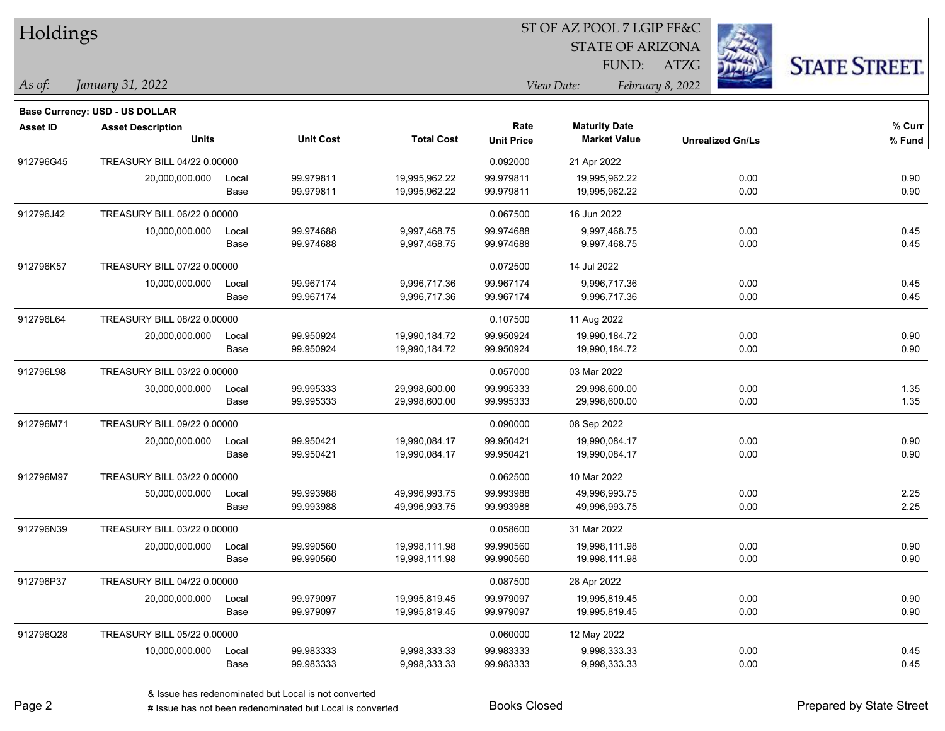| Holdings        |                                       |       |                  |                   |                   | ST OF AZ POOL 7 LGIP FF&C |                         |                      |
|-----------------|---------------------------------------|-------|------------------|-------------------|-------------------|---------------------------|-------------------------|----------------------|
|                 |                                       |       |                  |                   |                   | <b>STATE OF ARIZONA</b>   |                         |                      |
|                 |                                       |       |                  |                   |                   | FUND:                     | <b>ATZG</b>             | <b>STATE STREET.</b> |
| As of:          | January 31, 2022                      |       |                  |                   |                   | View Date:                | February 8, 2022        |                      |
|                 | <b>Base Currency: USD - US DOLLAR</b> |       |                  |                   |                   |                           |                         |                      |
| <b>Asset ID</b> | <b>Asset Description</b>              |       |                  |                   | Rate              | <b>Maturity Date</b>      |                         | % Curr               |
|                 | <b>Units</b>                          |       | <b>Unit Cost</b> | <b>Total Cost</b> | <b>Unit Price</b> | <b>Market Value</b>       | <b>Unrealized Gn/Ls</b> | % Fund               |
| 912796G45       | TREASURY BILL 04/22 0.00000           |       |                  |                   | 0.092000          | 21 Apr 2022               |                         |                      |
|                 | 20,000,000.000                        | Local | 99.979811        | 19,995,962.22     | 99.979811         | 19,995,962.22             | 0.00                    | 0.90                 |
|                 |                                       | Base  | 99.979811        | 19,995,962.22     | 99.979811         | 19,995,962.22             | 0.00                    | 0.90                 |
| 912796J42       | TREASURY BILL 06/22 0.00000           |       |                  |                   | 0.067500          | 16 Jun 2022               |                         |                      |
|                 | 10,000,000.000                        | Local | 99.974688        | 9,997,468.75      | 99.974688         | 9,997,468.75              | 0.00                    | 0.45                 |
|                 |                                       | Base  | 99.974688        | 9,997,468.75      | 99.974688         | 9,997,468.75              | 0.00                    | 0.45                 |
| 912796K57       | TREASURY BILL 07/22 0.00000           |       |                  |                   | 0.072500          | 14 Jul 2022               |                         |                      |
|                 | 10,000,000.000                        | Local | 99.967174        | 9,996,717.36      | 99.967174         | 9,996,717.36              | 0.00                    | 0.45                 |
|                 |                                       | Base  | 99.967174        | 9,996,717.36      | 99.967174         | 9,996,717.36              | 0.00                    | 0.45                 |
| 912796L64       | TREASURY BILL 08/22 0.00000           |       |                  |                   | 0.107500          | 11 Aug 2022               |                         |                      |
|                 | 20,000,000.000                        | Local | 99.950924        | 19,990,184.72     | 99.950924         | 19,990,184.72             | 0.00                    | 0.90                 |
|                 |                                       | Base  | 99.950924        | 19,990,184.72     | 99.950924         | 19,990,184.72             | 0.00                    | 0.90                 |
| 912796L98       | TREASURY BILL 03/22 0.00000           |       |                  |                   | 0.057000          | 03 Mar 2022               |                         |                      |
|                 | 30,000,000.000                        | Local | 99.995333        | 29,998,600.00     | 99.995333         | 29,998,600.00             | 0.00                    | 1.35                 |
|                 |                                       | Base  | 99.995333        | 29,998,600.00     | 99.995333         | 29,998,600.00             | 0.00                    | 1.35                 |
| 912796M71       | TREASURY BILL 09/22 0.00000           |       |                  |                   | 0.090000          | 08 Sep 2022               |                         |                      |
|                 | 20,000,000.000                        | Local | 99.950421        | 19,990,084.17     | 99.950421         | 19,990,084.17             | 0.00                    | 0.90                 |
|                 |                                       | Base  | 99.950421        | 19,990,084.17     | 99.950421         | 19,990,084.17             | 0.00                    | 0.90                 |
| 912796M97       | TREASURY BILL 03/22 0.00000           |       |                  |                   | 0.062500          | 10 Mar 2022               |                         |                      |
|                 | 50,000,000.000                        | Local | 99.993988        | 49,996,993.75     | 99.993988         | 49,996,993.75             | 0.00                    | 2.25                 |
|                 |                                       | Base  | 99.993988        | 49,996,993.75     | 99.993988         | 49,996,993.75             | 0.00                    | 2.25                 |
| 912796N39       | TREASURY BILL 03/22 0.00000           |       |                  |                   | 0.058600          | 31 Mar 2022               |                         |                      |
|                 | 20,000,000.000                        | Local | 99.990560        | 19,998,111.98     | 99.990560         | 19,998,111.98             | 0.00                    | 0.90                 |
|                 |                                       | Base  | 99.990560        | 19,998,111.98     | 99.990560         | 19,998,111.98             | 0.00                    | 0.90                 |
| 912796P37       | TREASURY BILL 04/22 0.00000           |       |                  |                   | 0.087500          | 28 Apr 2022               |                         |                      |
|                 | 20,000,000.000                        | Local | 99.979097        | 19,995,819.45     | 99.979097         | 19,995,819.45             | 0.00                    | 0.90                 |
|                 |                                       | Base  | 99.979097        | 19,995,819.45     | 99.979097         | 19,995,819.45             | 0.00                    | 0.90                 |
| 912796Q28       | TREASURY BILL 05/22 0.00000           |       |                  |                   | 0.060000          | 12 May 2022               |                         |                      |
|                 | 10,000,000.000                        | Local | 99.983333        | 9,998,333.33      | 99.983333         | 9,998,333.33              | 0.00                    | 0.45                 |
|                 |                                       | Base  | 99.983333        | 9,998,333.33      | 99.983333         | 9,998,333.33              | 0.00                    | 0.45                 |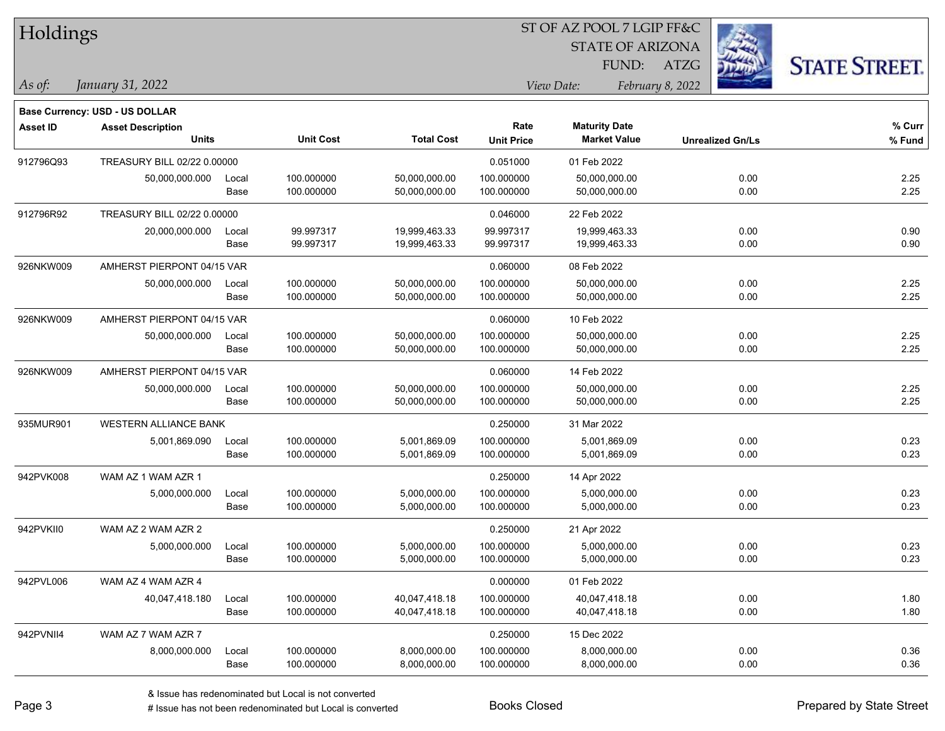| Holdings        |                                                            |       |                  |                   |                   | ST OF AZ POOL 7 LGIP FF&C |                         |                      |
|-----------------|------------------------------------------------------------|-------|------------------|-------------------|-------------------|---------------------------|-------------------------|----------------------|
|                 |                                                            |       |                  |                   |                   | <b>STATE OF ARIZONA</b>   |                         |                      |
|                 |                                                            |       |                  |                   |                   | FUND:                     | ATZG                    | <b>STATE STREET.</b> |
| As of:          | January 31, 2022                                           |       |                  |                   |                   | View Date:                | February 8, 2022        |                      |
|                 |                                                            |       |                  |                   |                   |                           |                         |                      |
| <b>Asset ID</b> | Base Currency: USD - US DOLLAR<br><b>Asset Description</b> |       |                  |                   | Rate              | <b>Maturity Date</b>      |                         | % Curr               |
|                 | <b>Units</b>                                               |       | <b>Unit Cost</b> | <b>Total Cost</b> | <b>Unit Price</b> | <b>Market Value</b>       | <b>Unrealized Gn/Ls</b> | % Fund               |
| 912796Q93       | TREASURY BILL 02/22 0.00000                                |       |                  |                   | 0.051000          | 01 Feb 2022               |                         |                      |
|                 | 50,000,000.000                                             | Local | 100.000000       | 50,000,000.00     | 100.000000        | 50,000,000.00             | 0.00                    | 2.25                 |
|                 |                                                            | Base  | 100.000000       | 50,000,000.00     | 100.000000        | 50,000,000.00             | 0.00                    | 2.25                 |
| 912796R92       | TREASURY BILL 02/22 0.00000                                |       |                  |                   | 0.046000          | 22 Feb 2022               |                         |                      |
|                 | 20,000,000.000                                             | Local | 99.997317        | 19,999,463.33     | 99.997317         | 19,999,463.33             | 0.00                    | 0.90                 |
|                 |                                                            | Base  | 99.997317        | 19,999,463.33     | 99.997317         | 19,999,463.33             | 0.00                    | 0.90                 |
| 926NKW009       | AMHERST PIERPONT 04/15 VAR                                 |       |                  |                   | 0.060000          | 08 Feb 2022               |                         |                      |
|                 | 50,000,000.000                                             | Local | 100.000000       | 50,000,000.00     | 100.000000        | 50,000,000.00             | 0.00                    | 2.25                 |
|                 |                                                            | Base  | 100.000000       | 50,000,000.00     | 100.000000        | 50,000,000.00             | 0.00                    | 2.25                 |
| 926NKW009       | AMHERST PIERPONT 04/15 VAR                                 |       |                  |                   | 0.060000          | 10 Feb 2022               |                         |                      |
|                 | 50,000,000.000                                             | Local | 100.000000       | 50,000,000.00     | 100.000000        | 50,000,000.00             | 0.00                    | 2.25                 |
|                 |                                                            | Base  | 100.000000       | 50,000,000.00     | 100.000000        | 50,000,000.00             | 0.00                    | 2.25                 |
| 926NKW009       | AMHERST PIERPONT 04/15 VAR                                 |       |                  |                   | 0.060000          | 14 Feb 2022               |                         |                      |
|                 | 50,000,000.000                                             | Local | 100.000000       | 50,000,000.00     | 100.000000        | 50,000,000.00             | 0.00                    | 2.25                 |
|                 |                                                            | Base  | 100.000000       | 50,000,000.00     | 100.000000        | 50,000,000.00             | 0.00                    | 2.25                 |
| 935MUR901       | <b>WESTERN ALLIANCE BANK</b>                               |       |                  |                   | 0.250000          | 31 Mar 2022               |                         |                      |
|                 | 5,001,869.090                                              | Local | 100.000000       | 5,001,869.09      | 100.000000        | 5,001,869.09              | 0.00                    | 0.23                 |
|                 |                                                            | Base  | 100.000000       | 5,001,869.09      | 100.000000        | 5,001,869.09              | 0.00                    | 0.23                 |
| 942PVK008       | WAM AZ 1 WAM AZR 1                                         |       |                  |                   | 0.250000          | 14 Apr 2022               |                         |                      |
|                 | 5,000,000.000                                              | Local | 100.000000       | 5,000,000.00      | 100.000000        | 5,000,000.00              | 0.00                    | 0.23                 |
|                 |                                                            | Base  | 100.000000       | 5,000,000.00      | 100.000000        | 5,000,000.00              | 0.00                    | 0.23                 |
| 942PVKII0       | WAM AZ 2 WAM AZR 2                                         |       |                  |                   | 0.250000          | 21 Apr 2022               |                         |                      |
|                 | 5,000,000.000                                              | Local | 100.000000       | 5,000,000.00      | 100.000000        | 5,000,000.00              | 0.00                    | 0.23                 |
|                 |                                                            | Base  | 100.000000       | 5,000,000.00      | 100.000000        | 5,000,000.00              | 0.00                    | 0.23                 |
| 942PVL006       | WAM AZ 4 WAM AZR 4                                         |       |                  |                   | 0.000000          | 01 Feb 2022               |                         |                      |
|                 | 40,047,418.180                                             | Local | 100.000000       | 40,047,418.18     | 100.000000        | 40,047,418.18             | 0.00                    | 1.80                 |
|                 |                                                            | Base  | 100.000000       | 40,047,418.18     | 100.000000        | 40,047,418.18             | 0.00                    | 1.80                 |
| 942PVNII4       | WAM AZ 7 WAM AZR 7                                         |       |                  |                   | 0.250000          | 15 Dec 2022               |                         |                      |
|                 | 8,000,000.000                                              | Local | 100.000000       | 8,000,000.00      | 100.000000        | 8,000,000.00              | 0.00                    | 0.36                 |
|                 |                                                            | Base  | 100.000000       | 8,000,000.00      | 100.000000        | 8,000,000.00              | 0.00                    | 0.36                 |

# Issue has not been redenominated but Local is converted Books Closed Prepared by State Street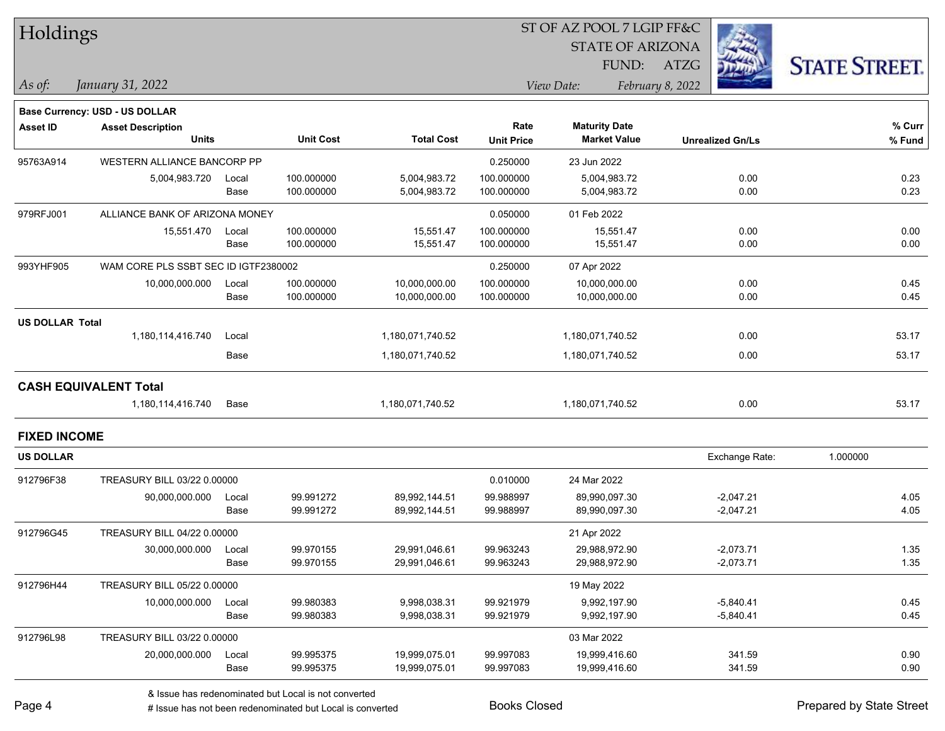| Holdings<br><b>STATE OF ARIZONA</b><br><b>STATE STREET.</b><br>FUND:<br>ATZG<br>January 31, 2022<br>View Date:<br>February 8, 2022<br>As of:<br><b>Base Currency: USD - US DOLLAR</b><br>Rate<br><b>Maturity Date</b><br><b>Asset ID</b><br><b>Asset Description</b><br><b>Unit Cost</b><br><b>Units</b><br><b>Total Cost</b><br><b>Market Value</b><br><b>Unit Price</b><br><b>Unrealized Gn/Ls</b> | % Curr<br>$%$ Fund |
|------------------------------------------------------------------------------------------------------------------------------------------------------------------------------------------------------------------------------------------------------------------------------------------------------------------------------------------------------------------------------------------------------|--------------------|
|                                                                                                                                                                                                                                                                                                                                                                                                      |                    |
|                                                                                                                                                                                                                                                                                                                                                                                                      |                    |
|                                                                                                                                                                                                                                                                                                                                                                                                      |                    |
|                                                                                                                                                                                                                                                                                                                                                                                                      |                    |
|                                                                                                                                                                                                                                                                                                                                                                                                      |                    |
|                                                                                                                                                                                                                                                                                                                                                                                                      |                    |
| WESTERN ALLIANCE BANCORP PP<br>0.250000<br>95763A914<br>23 Jun 2022                                                                                                                                                                                                                                                                                                                                  |                    |
| 100.000000<br>5,004,983.72<br>5,004,983.72<br>0.00<br>5,004,983.720<br>Local<br>100.000000                                                                                                                                                                                                                                                                                                           | 0.23               |
| 100.000000<br>5,004,983.72<br>100.000000<br>5,004,983.72<br>0.00<br>Base                                                                                                                                                                                                                                                                                                                             | 0.23               |
| 979RFJ001<br>ALLIANCE BANK OF ARIZONA MONEY<br>0.050000<br>01 Feb 2022                                                                                                                                                                                                                                                                                                                               |                    |
| 15,551.47<br>100.000000<br>15,551.470<br>100.000000<br>15,551.47<br>0.00<br>Local                                                                                                                                                                                                                                                                                                                    | 0.00               |
| 100.000000<br>15,551.47<br>15,551.47<br>Base<br>100.000000<br>0.00                                                                                                                                                                                                                                                                                                                                   | 0.00               |
| 993YHF905<br>WAM CORE PLS SSBT SEC ID IGTF2380002<br>0.250000<br>07 Apr 2022                                                                                                                                                                                                                                                                                                                         |                    |
| 100.000000<br>100.000000<br>0.00<br>10,000,000.000<br>10,000,000.00<br>10,000,000.00<br>Local                                                                                                                                                                                                                                                                                                        | 0.45               |
| 100.000000<br>100.000000<br>10,000,000.00<br>0.00<br>Base<br>10,000,000.00                                                                                                                                                                                                                                                                                                                           | 0.45               |
| <b>US DOLLAR Total</b>                                                                                                                                                                                                                                                                                                                                                                               |                    |
| 1,180,114,416.740<br>0.00<br>Local<br>1,180,071,740.52<br>1,180,071,740.52                                                                                                                                                                                                                                                                                                                           | 53.17              |
| 0.00<br>1,180,071,740.52<br>Base<br>1,180,071,740.52                                                                                                                                                                                                                                                                                                                                                 | 53.17              |
| <b>CASH EQUIVALENT Total</b>                                                                                                                                                                                                                                                                                                                                                                         |                    |
| 1,180,114,416.740<br>1,180,071,740.52<br>1,180,071,740.52<br>0.00<br>Base                                                                                                                                                                                                                                                                                                                            | 53.17              |
| <b>FIXED INCOME</b>                                                                                                                                                                                                                                                                                                                                                                                  |                    |
| 1.000000<br><b>US DOLLAR</b><br>Exchange Rate:                                                                                                                                                                                                                                                                                                                                                       |                    |
| TREASURY BILL 03/22 0.00000<br>0.010000<br>912796F38<br>24 Mar 2022                                                                                                                                                                                                                                                                                                                                  |                    |
| 99.991272<br>99.988997<br>$-2,047.21$<br>90,000,000.000<br>89,992,144.51<br>89,990,097.30<br>Local                                                                                                                                                                                                                                                                                                   | 4.05               |
| 99.991272<br>99.988997<br>89,990,097.30<br>$-2,047.21$<br>Base<br>89,992,144.51                                                                                                                                                                                                                                                                                                                      | 4.05               |
| 912796G45<br>TREASURY BILL 04/22 0.00000<br>21 Apr 2022                                                                                                                                                                                                                                                                                                                                              |                    |
| 30,000,000.000<br>99.970155<br>29,991,046.61<br>99.963243<br>29,988,972.90<br>$-2,073.71$<br>Local                                                                                                                                                                                                                                                                                                   | 1.35               |
| Base<br>99.970155<br>99.963243<br>$-2,073.71$<br>29,991,046.61<br>29,988,972.90                                                                                                                                                                                                                                                                                                                      | 1.35               |
| 912796H44<br>TREASURY BILL 05/22 0.00000<br>19 May 2022                                                                                                                                                                                                                                                                                                                                              |                    |
| 99.980383<br>99.921979<br>$-5,840.41$<br>10,000,000.000<br>9,998,038.31<br>9,992,197.90<br>Local                                                                                                                                                                                                                                                                                                     | 0.45               |
| Base<br>99.980383<br>9,998,038.31<br>99.921979<br>9,992,197.90<br>$-5,840.41$                                                                                                                                                                                                                                                                                                                        | 0.45               |
| 912796L98<br>TREASURY BILL 03/22 0.00000<br>03 Mar 2022                                                                                                                                                                                                                                                                                                                                              |                    |
| 99.995375<br>99.997083<br>341.59<br>20,000,000.000<br>Local<br>19,999,075.01<br>19,999,416.60                                                                                                                                                                                                                                                                                                        | 0.90               |
| Base<br>99.995375<br>19,999,075.01<br>99.997083<br>341.59<br>19,999,416.60                                                                                                                                                                                                                                                                                                                           | 0.90               |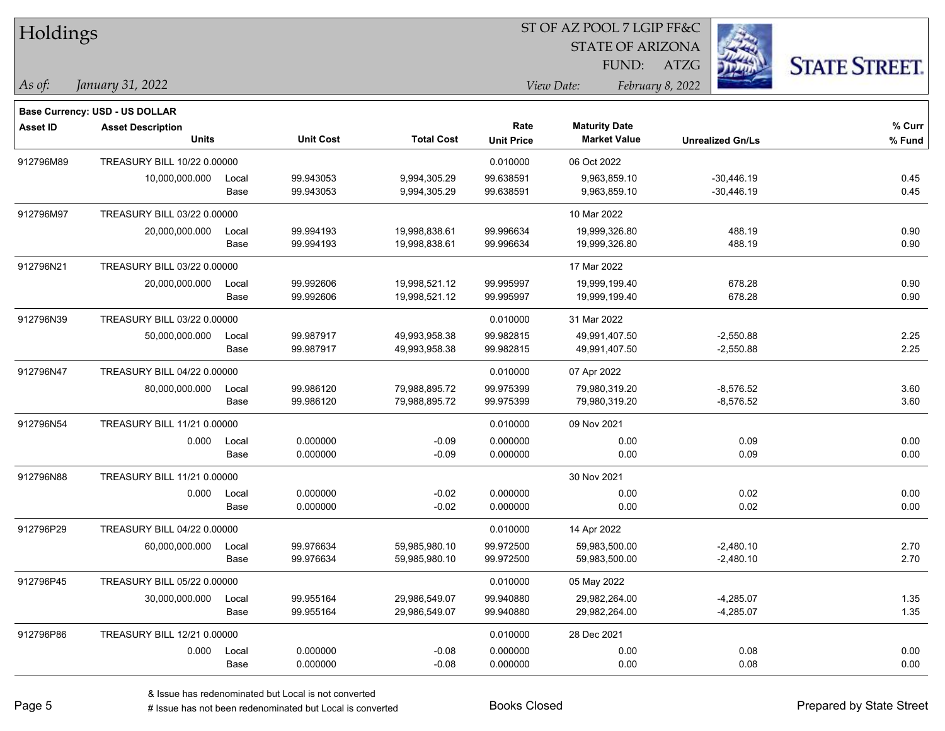| Holdings       |                                |       |                  |                   |                   | ST OF AZ POOL 7 LGIP FF&C |                         |                      |  |  |
|----------------|--------------------------------|-------|------------------|-------------------|-------------------|---------------------------|-------------------------|----------------------|--|--|
|                |                                |       |                  |                   |                   | <b>STATE OF ARIZONA</b>   |                         |                      |  |  |
|                |                                |       |                  |                   |                   | FUND: ATZG                |                         | <b>STATE STREET.</b> |  |  |
| $\vert$ As of: | January 31, 2022               |       |                  |                   |                   | View Date:                | February 8, 2022        |                      |  |  |
|                | Base Currency: USD - US DOLLAR |       |                  |                   |                   |                           |                         |                      |  |  |
| Asset ID       | <b>Asset Description</b>       |       |                  |                   | Rate              | <b>Maturity Date</b>      |                         | % Curr               |  |  |
|                | <b>Units</b>                   |       | <b>Unit Cost</b> | <b>Total Cost</b> | <b>Unit Price</b> | <b>Market Value</b>       | <b>Unrealized Gn/Ls</b> | % Fund               |  |  |
| 912796M89      | TREASURY BILL 10/22 0.00000    |       |                  |                   | 0.010000          | 06 Oct 2022               |                         |                      |  |  |
|                | 10,000,000.000                 | Local | 99.943053        | 9,994,305.29      | 99.638591         | 9,963,859.10              | $-30,446.19$            | 0.45                 |  |  |
|                |                                | Base  | 99.943053        | 9,994,305.29      | 99.638591         | 9,963,859.10              | $-30,446.19$            | 0.45                 |  |  |
| 912796M97      | TREASURY BILL 03/22 0.00000    |       |                  |                   |                   | 10 Mar 2022               |                         |                      |  |  |
|                | 20,000,000.000                 | Local | 99.994193        | 19,998,838.61     | 99.996634         | 19,999,326.80             | 488.19                  | 0.90                 |  |  |
|                |                                | Base  | 99.994193        | 19,998,838.61     | 99.996634         | 19,999,326.80             | 488.19                  | 0.90                 |  |  |
| 912796N21      | TREASURY BILL 03/22 0.00000    |       |                  |                   |                   | 17 Mar 2022               |                         |                      |  |  |
|                | 20,000,000.000                 | Local | 99.992606        | 19,998,521.12     | 99.995997         | 19,999,199.40             | 678.28                  | 0.90                 |  |  |
|                |                                | Base  | 99.992606        | 19,998,521.12     | 99.995997         | 19,999,199.40             | 678.28                  | 0.90                 |  |  |
| 912796N39      | TREASURY BILL 03/22 0.00000    |       |                  |                   | 0.010000          | 31 Mar 2022               |                         |                      |  |  |
|                | 50,000,000.000                 | Local | 99.987917        | 49,993,958.38     | 99.982815         | 49,991,407.50             | $-2,550.88$             | 2.25                 |  |  |
|                |                                | Base  | 99.987917        | 49,993,958.38     | 99.982815         | 49,991,407.50             | $-2,550.88$             | 2.25                 |  |  |
| 912796N47      | TREASURY BILL 04/22 0.00000    |       |                  |                   | 0.010000          | 07 Apr 2022               |                         |                      |  |  |
|                | 80,000,000.000                 | Local | 99.986120        | 79,988,895.72     | 99.975399         | 79,980,319.20             | $-8,576.52$             | 3.60                 |  |  |
|                |                                | Base  | 99.986120        | 79,988,895.72     | 99.975399         | 79,980,319.20             | $-8,576.52$             | 3.60                 |  |  |
| 912796N54      | TREASURY BILL 11/21 0.00000    |       |                  |                   | 0.010000          | 09 Nov 2021               |                         |                      |  |  |
|                | 0.000                          | Local | 0.000000         | $-0.09$           | 0.000000          | 0.00                      | 0.09                    | 0.00                 |  |  |
|                |                                | Base  | 0.000000         | $-0.09$           | 0.000000          | 0.00                      | 0.09                    | 0.00                 |  |  |
| 912796N88      | TREASURY BILL 11/21 0.00000    |       |                  |                   |                   | 30 Nov 2021               |                         |                      |  |  |
|                | 0.000                          | Local | 0.000000         | $-0.02$           | 0.000000          | 0.00                      | 0.02                    | 0.00                 |  |  |
|                |                                | Base  | 0.000000         | $-0.02$           | 0.000000          | 0.00                      | 0.02                    | 0.00                 |  |  |
| 912796P29      | TREASURY BILL 04/22 0.00000    |       |                  |                   | 0.010000          | 14 Apr 2022               |                         |                      |  |  |
|                | 60,000,000.000                 | Local | 99.976634        | 59,985,980.10     | 99.972500         | 59,983,500.00             | $-2,480.10$             | 2.70                 |  |  |
|                |                                | Base  | 99.976634        | 59,985,980.10     | 99.972500         | 59,983,500.00             | $-2,480.10$             | 2.70                 |  |  |
| 912796P45      | TREASURY BILL 05/22 0.00000    |       |                  |                   | 0.010000          | 05 May 2022               |                         |                      |  |  |
|                | 30,000,000.000                 | Local | 99.955164        | 29,986,549.07     | 99.940880         | 29,982,264.00             | $-4,285.07$             | 1.35                 |  |  |
|                |                                | Base  | 99.955164        | 29,986,549.07     | 99.940880         | 29,982,264.00             | $-4,285.07$             | 1.35                 |  |  |
| 912796P86      | TREASURY BILL 12/21 0.00000    |       |                  |                   | 0.010000          | 28 Dec 2021               |                         |                      |  |  |
|                | 0.000                          | Local | 0.000000         | $-0.08$           | 0.000000          | 0.00                      | 0.08                    | 0.00                 |  |  |
|                |                                | Base  | 0.000000         | $-0.08$           | 0.000000          | 0.00                      | 0.08                    | 0.00                 |  |  |

٦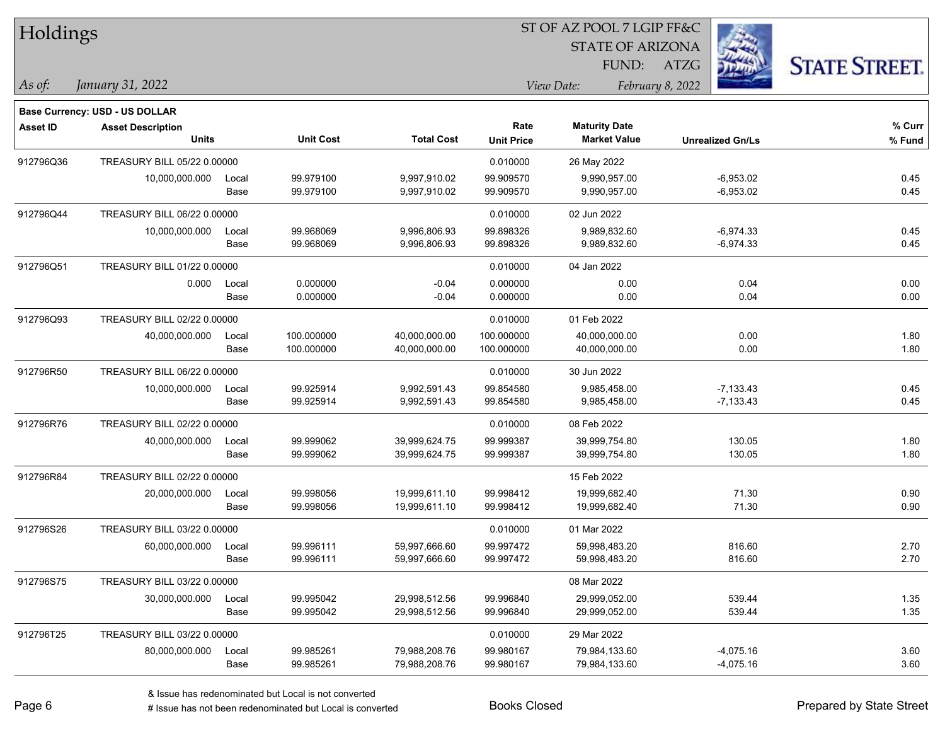| Holdings        |                                       |       |                  |                   |                   | ST OF AZ POOL 7 LGIP FF&C |                         |                      |
|-----------------|---------------------------------------|-------|------------------|-------------------|-------------------|---------------------------|-------------------------|----------------------|
|                 |                                       |       |                  |                   |                   | <b>STATE OF ARIZONA</b>   |                         |                      |
|                 |                                       |       |                  |                   |                   | FUND:                     | <b>ATZG</b>             | <b>STATE STREET.</b> |
| As of:          | January 31, 2022                      |       |                  |                   |                   | View Date:                | February 8, 2022        |                      |
|                 | <b>Base Currency: USD - US DOLLAR</b> |       |                  |                   |                   |                           |                         |                      |
| <b>Asset ID</b> | <b>Asset Description</b>              |       |                  |                   | Rate              | <b>Maturity Date</b>      |                         | % Curr               |
|                 | <b>Units</b>                          |       | <b>Unit Cost</b> | <b>Total Cost</b> | <b>Unit Price</b> | <b>Market Value</b>       | <b>Unrealized Gn/Ls</b> | % Fund               |
| 912796Q36       | TREASURY BILL 05/22 0.00000           |       |                  |                   | 0.010000          | 26 May 2022               |                         |                      |
|                 | 10,000,000.000                        | Local | 99.979100        | 9,997,910.02      | 99.909570         | 9,990,957.00              | $-6,953.02$             | 0.45                 |
|                 |                                       | Base  | 99.979100        | 9,997,910.02      | 99.909570         | 9,990,957.00              | $-6,953.02$             | 0.45                 |
| 912796Q44       | TREASURY BILL 06/22 0.00000           |       |                  |                   | 0.010000          | 02 Jun 2022               |                         |                      |
|                 | 10,000,000.000                        | Local | 99.968069        | 9,996,806.93      | 99.898326         | 9,989,832.60              | $-6,974.33$             | 0.45                 |
|                 |                                       | Base  | 99.968069        | 9,996,806.93      | 99.898326         | 9,989,832.60              | $-6,974.33$             | 0.45                 |
| 912796Q51       | TREASURY BILL 01/22 0.00000           |       |                  |                   | 0.010000          | 04 Jan 2022               |                         |                      |
|                 | 0.000                                 | Local | 0.000000         | $-0.04$           | 0.000000          | 0.00                      | 0.04                    | 0.00                 |
|                 |                                       | Base  | 0.000000         | $-0.04$           | 0.000000          | 0.00                      | 0.04                    | 0.00                 |
| 912796Q93       | TREASURY BILL 02/22 0.00000           |       |                  |                   | 0.010000          | 01 Feb 2022               |                         |                      |
|                 | 40,000,000.000                        | Local | 100.000000       | 40,000,000.00     | 100.000000        | 40,000,000.00             | 0.00                    | 1.80                 |
|                 |                                       | Base  | 100.000000       | 40,000,000.00     | 100.000000        | 40,000,000.00             | 0.00                    | 1.80                 |
| 912796R50       | TREASURY BILL 06/22 0.00000           |       |                  |                   | 0.010000          | 30 Jun 2022               |                         |                      |
|                 | 10,000,000.000                        | Local | 99.925914        | 9,992,591.43      | 99.854580         | 9,985,458.00              | $-7,133.43$             | 0.45                 |
|                 |                                       | Base  | 99.925914        | 9,992,591.43      | 99.854580         | 9,985,458.00              | $-7,133.43$             | 0.45                 |
| 912796R76       | TREASURY BILL 02/22 0.00000           |       |                  |                   | 0.010000          | 08 Feb 2022               |                         |                      |
|                 | 40,000,000.000                        | Local | 99.999062        | 39,999,624.75     | 99.999387         | 39,999,754.80             | 130.05                  | 1.80                 |
|                 |                                       | Base  | 99.999062        | 39,999,624.75     | 99.999387         | 39,999,754.80             | 130.05                  | 1.80                 |
| 912796R84       | TREASURY BILL 02/22 0.00000           |       |                  |                   |                   | 15 Feb 2022               |                         |                      |
|                 | 20,000,000.000                        | Local | 99.998056        | 19,999,611.10     | 99.998412         | 19,999,682.40             | 71.30                   | 0.90                 |
|                 |                                       | Base  | 99.998056        | 19,999,611.10     | 99.998412         | 19,999,682.40             | 71.30                   | 0.90                 |
| 912796S26       | TREASURY BILL 03/22 0.00000           |       |                  |                   | 0.010000          | 01 Mar 2022               |                         |                      |
|                 | 60,000,000.000                        | Local | 99.996111        | 59,997,666.60     | 99.997472         | 59,998,483.20             | 816.60                  | 2.70                 |
|                 |                                       | Base  | 99.996111        | 59,997,666.60     | 99.997472         | 59,998,483.20             | 816.60                  | 2.70                 |
| 912796S75       | TREASURY BILL 03/22 0.00000           |       |                  |                   |                   | 08 Mar 2022               |                         |                      |
|                 | 30,000,000.000                        | Local | 99.995042        | 29,998,512.56     | 99.996840         | 29,999,052.00             | 539.44                  | 1.35                 |
|                 |                                       | Base  | 99.995042        | 29,998,512.56     | 99.996840         | 29,999,052.00             | 539.44                  | 1.35                 |
| 912796T25       | TREASURY BILL 03/22 0.00000           |       |                  |                   | 0.010000          | 29 Mar 2022               |                         |                      |
|                 | 80,000,000.000                        | Local | 99.985261        | 79,988,208.76     | 99.980167         | 79,984,133.60             | $-4,075.16$             | 3.60                 |
|                 |                                       | Base  | 99.985261        | 79,988,208.76     | 99.980167         | 79,984,133.60             | $-4,075.16$             | 3.60                 |

# Issue has not been redenominated but Local is converted Books Closed Prepared by State Street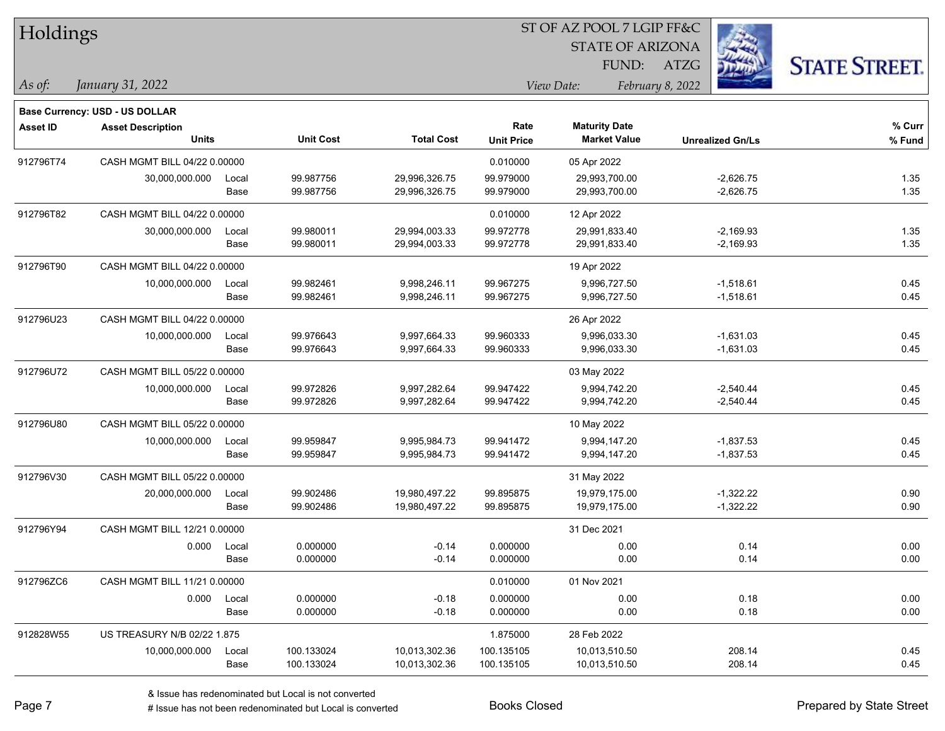| Holdings        |                                       |       |                  |                   | ST OF AZ POOL 7 LGIP FF&C |                         |                         |                      |  |  |
|-----------------|---------------------------------------|-------|------------------|-------------------|---------------------------|-------------------------|-------------------------|----------------------|--|--|
|                 |                                       |       |                  |                   |                           | <b>STATE OF ARIZONA</b> |                         |                      |  |  |
|                 |                                       |       |                  |                   |                           | FUND:                   | <b>ATZG</b>             | <b>STATE STREET.</b> |  |  |
| $\vert$ As of:  | January 31, 2022                      |       |                  |                   |                           | View Date:              | February 8, 2022        |                      |  |  |
|                 | <b>Base Currency: USD - US DOLLAR</b> |       |                  |                   |                           |                         |                         |                      |  |  |
| <b>Asset ID</b> | <b>Asset Description</b>              |       |                  |                   | Rate                      | <b>Maturity Date</b>    |                         | % Curr               |  |  |
|                 | <b>Units</b>                          |       | <b>Unit Cost</b> | <b>Total Cost</b> | <b>Unit Price</b>         | <b>Market Value</b>     | <b>Unrealized Gn/Ls</b> | % Fund               |  |  |
| 912796T74       | CASH MGMT BILL 04/22 0.00000          |       |                  |                   | 0.010000                  | 05 Apr 2022             |                         |                      |  |  |
|                 | 30,000,000.000                        | Local | 99.987756        | 29,996,326.75     | 99.979000                 | 29,993,700.00           | $-2,626.75$             | 1.35                 |  |  |
|                 |                                       | Base  | 99.987756        | 29,996,326.75     | 99.979000                 | 29,993,700.00           | $-2,626.75$             | 1.35                 |  |  |
| 912796T82       | CASH MGMT BILL 04/22 0.00000          |       |                  |                   | 0.010000                  | 12 Apr 2022             |                         |                      |  |  |
|                 | 30,000,000.000                        | Local | 99.980011        | 29,994,003.33     | 99.972778                 | 29,991,833.40           | $-2,169.93$             | 1.35                 |  |  |
|                 |                                       | Base  | 99.980011        | 29,994,003.33     | 99.972778                 | 29,991,833.40           | $-2,169.93$             | 1.35                 |  |  |
| 912796T90       | CASH MGMT BILL 04/22 0.00000          |       |                  |                   |                           | 19 Apr 2022             |                         |                      |  |  |
|                 | 10,000,000.000                        | Local | 99.982461        | 9,998,246.11      | 99.967275                 | 9,996,727.50            | $-1,518.61$             | 0.45                 |  |  |
|                 |                                       | Base  | 99.982461        | 9,998,246.11      | 99.967275                 | 9,996,727.50            | $-1,518.61$             | 0.45                 |  |  |
| 912796U23       | CASH MGMT BILL 04/22 0.00000          |       |                  |                   |                           | 26 Apr 2022             |                         |                      |  |  |
|                 | 10,000,000.000                        | Local | 99.976643        | 9,997,664.33      | 99.960333                 | 9,996,033.30            | $-1,631.03$             | 0.45                 |  |  |
|                 |                                       | Base  | 99.976643        | 9,997,664.33      | 99.960333                 | 9,996,033.30            | $-1,631.03$             | 0.45                 |  |  |
| 912796U72       | CASH MGMT BILL 05/22 0.00000          |       |                  |                   |                           | 03 May 2022             |                         |                      |  |  |
|                 | 10,000,000.000                        | Local | 99.972826        | 9,997,282.64      | 99.947422                 | 9,994,742.20            | $-2,540.44$             | 0.45                 |  |  |
|                 |                                       | Base  | 99.972826        | 9,997,282.64      | 99.947422                 | 9,994,742.20            | $-2,540.44$             | 0.45                 |  |  |
| 912796U80       | CASH MGMT BILL 05/22 0.00000          |       |                  |                   |                           | 10 May 2022             |                         |                      |  |  |
|                 | 10,000,000.000                        | Local | 99.959847        | 9,995,984.73      | 99.941472                 | 9,994,147.20            | $-1,837.53$             | 0.45                 |  |  |
|                 |                                       | Base  | 99.959847        | 9,995,984.73      | 99.941472                 | 9,994,147.20            | $-1,837.53$             | 0.45                 |  |  |
| 912796V30       | CASH MGMT BILL 05/22 0.00000          |       |                  |                   |                           | 31 May 2022             |                         |                      |  |  |
|                 | 20,000,000.000                        | Local | 99.902486        | 19,980,497.22     | 99.895875                 | 19,979,175.00           | $-1,322.22$             | 0.90                 |  |  |
|                 |                                       | Base  | 99.902486        | 19,980,497.22     | 99.895875                 | 19,979,175.00           | $-1,322.22$             | 0.90                 |  |  |
| 912796Y94       | CASH MGMT BILL 12/21 0.00000          |       |                  |                   |                           | 31 Dec 2021             |                         |                      |  |  |
|                 | 0.000                                 | Local | 0.000000         | $-0.14$           | 0.000000                  | 0.00                    | 0.14                    | 0.00                 |  |  |
|                 |                                       | Base  | 0.000000         | $-0.14$           | 0.000000                  | 0.00                    | 0.14                    | 0.00                 |  |  |
| 912796ZC6       | CASH MGMT BILL 11/21 0.00000          |       |                  |                   | 0.010000                  | 01 Nov 2021             |                         |                      |  |  |
|                 | 0.000                                 | Local | 0.000000         | $-0.18$           | 0.000000                  | 0.00                    | 0.18                    | 0.00                 |  |  |
|                 |                                       | Base  | 0.000000         | $-0.18$           | 0.000000                  | 0.00                    | 0.18                    | 0.00                 |  |  |
| 912828W55       | US TREASURY N/B 02/22 1.875           |       |                  |                   | 1.875000                  | 28 Feb 2022             |                         |                      |  |  |
|                 | 10,000,000.000                        | Local | 100.133024       | 10,013,302.36     | 100.135105                | 10,013,510.50           | 208.14                  | 0.45                 |  |  |
|                 |                                       | Base  | 100.133024       | 10,013,302.36     | 100.135105                | 10,013,510.50           | 208.14                  | 0.45                 |  |  |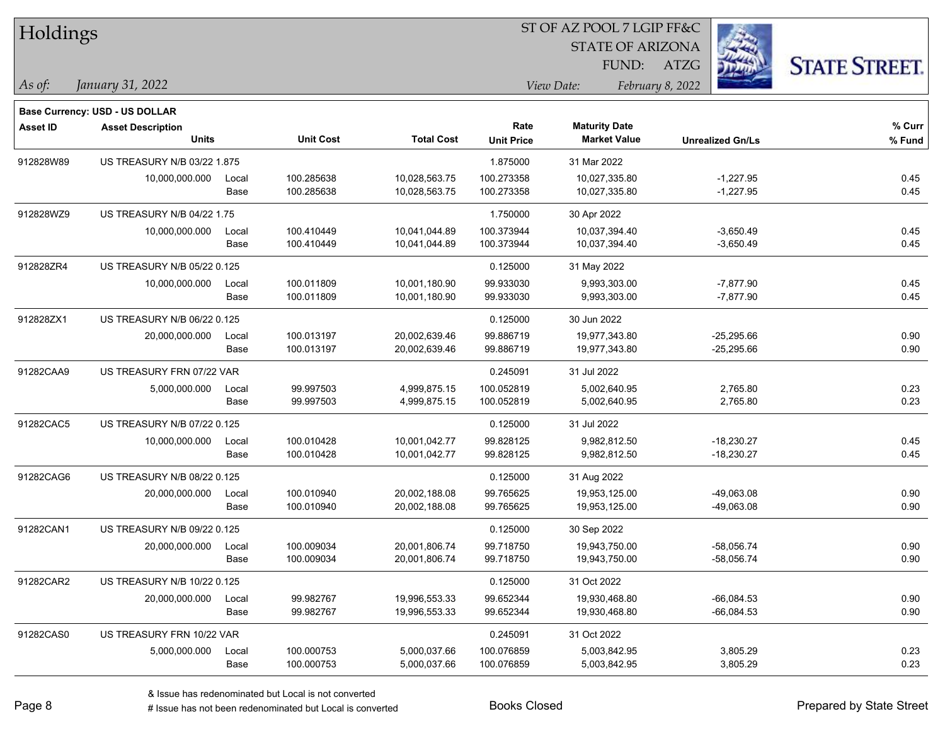| <b>Holdings</b> |                                       |       |                  |                   |                   | 51 OF AZ POOL 7 LGIP FF&C |                         |                      |  |
|-----------------|---------------------------------------|-------|------------------|-------------------|-------------------|---------------------------|-------------------------|----------------------|--|
|                 |                                       |       |                  |                   |                   | <b>STATE OF ARIZONA</b>   |                         | Ź.                   |  |
|                 |                                       |       |                  |                   |                   | FUND:                     | ATZG                    | <b>STATE STREET.</b> |  |
| As of:          | January 31, 2022                      |       |                  |                   |                   | View Date:                | February 8, 2022        |                      |  |
|                 | <b>Base Currency: USD - US DOLLAR</b> |       |                  |                   |                   |                           |                         |                      |  |
| <b>Asset ID</b> | <b>Asset Description</b>              |       |                  |                   | Rate              | <b>Maturity Date</b>      |                         | % Curr               |  |
|                 | <b>Units</b>                          |       | <b>Unit Cost</b> | <b>Total Cost</b> | <b>Unit Price</b> | <b>Market Value</b>       | <b>Unrealized Gn/Ls</b> | % Fund               |  |
| 912828W89       | US TREASURY N/B 03/22 1.875           |       |                  |                   | 1.875000          | 31 Mar 2022               |                         |                      |  |
|                 | 10,000,000.000                        | Local | 100.285638       | 10,028,563.75     | 100.273358        | 10,027,335.80             | $-1,227.95$             | 0.45                 |  |
|                 |                                       | Base  | 100.285638       | 10,028,563.75     | 100.273358        | 10,027,335.80             | $-1,227.95$             | 0.45                 |  |
| 912828WZ9       | <b>US TREASURY N/B 04/22 1.75</b>     |       |                  |                   | 1.750000          | 30 Apr 2022               |                         |                      |  |
|                 | 10,000,000.000                        | Local | 100.410449       | 10,041,044.89     | 100.373944        | 10,037,394.40             | $-3,650.49$             | 0.45                 |  |
|                 |                                       | Base  | 100.410449       | 10,041,044.89     | 100.373944        | 10,037,394.40             | $-3,650.49$             | 0.45                 |  |
| 912828ZR4       | US TREASURY N/B 05/22 0.125           |       |                  |                   | 0.125000          | 31 May 2022               |                         |                      |  |
|                 | 10,000,000.000                        | Local | 100.011809       | 10,001,180.90     | 99.933030         | 9,993,303.00              | $-7,877.90$             | 0.45                 |  |
|                 |                                       | Base  | 100.011809       | 10,001,180.90     | 99.933030         | 9,993,303.00              | $-7,877.90$             | 0.45                 |  |
| 912828ZX1       | US TREASURY N/B 06/22 0.125           |       |                  |                   | 0.125000          | 30 Jun 2022               |                         |                      |  |
|                 | 20,000,000.000                        | Local | 100.013197       | 20,002,639.46     | 99.886719         | 19,977,343.80             | $-25,295.66$            | 0.90                 |  |
|                 |                                       | Base  | 100.013197       | 20,002,639.46     | 99.886719         | 19,977,343.80             | $-25,295.66$            | 0.90                 |  |
| 91282CAA9       | US TREASURY FRN 07/22 VAR             |       |                  |                   | 0.245091          | 31 Jul 2022               |                         |                      |  |
|                 | 5,000,000.000                         | Local | 99.997503        | 4,999,875.15      | 100.052819        | 5,002,640.95              |                         | 0.23<br>2,765.80     |  |
|                 |                                       | Base  | 99.997503        | 4,999,875.15      | 100.052819        | 5,002,640.95              |                         | 0.23<br>2,765.80     |  |
| 91282CAC5       | US TREASURY N/B 07/22 0.125           |       |                  |                   | 0.125000          | 31 Jul 2022               |                         |                      |  |
|                 | 10,000,000.000                        | Local | 100.010428       | 10,001,042.77     | 99.828125         | 9,982,812.50              | $-18,230.27$            | 0.45                 |  |
|                 |                                       | Base  | 100.010428       | 10,001,042.77     | 99.828125         | 9,982,812.50              | $-18,230.27$            | 0.45                 |  |
| 91282CAG6       | US TREASURY N/B 08/22 0.125           |       |                  |                   | 0.125000          | 31 Aug 2022               |                         |                      |  |
|                 | 20,000,000.000                        | Local | 100.010940       | 20,002,188.08     | 99.765625         | 19,953,125.00             | -49,063.08              | 0.90                 |  |
|                 |                                       | Base  | 100.010940       | 20,002,188.08     | 99.765625         | 19,953,125.00             | $-49,063.08$            | 0.90                 |  |
| 91282CAN1       | US TREASURY N/B 09/22 0.125           |       |                  |                   | 0.125000          | 30 Sep 2022               |                         |                      |  |
|                 | 20,000,000.000                        | Local | 100.009034       | 20,001,806.74     | 99.718750         | 19,943,750.00             | $-58,056.74$            | 0.90                 |  |
|                 |                                       | Base  | 100.009034       | 20,001,806.74     | 99.718750         | 19,943,750.00             | -58,056.74              | 0.90                 |  |
| 91282CAR2       | US TREASURY N/B 10/22 0.125           |       |                  |                   | 0.125000          | 31 Oct 2022               |                         |                      |  |
|                 | 20,000,000.000                        | Local | 99.982767        | 19,996,553.33     | 99.652344         | 19,930,468.80             | $-66,084.53$            | 0.90                 |  |
|                 |                                       | Base  | 99.982767        | 19,996,553.33     | 99.652344         | 19,930,468.80             | $-66,084.53$            | 0.90                 |  |
| 91282CAS0       | US TREASURY FRN 10/22 VAR             |       |                  |                   | 0.245091          | 31 Oct 2022               |                         |                      |  |
|                 | 5,000,000.000                         | Local | 100.000753       | 5,000,037.66      | 100.076859        | 5,003,842.95              |                         | 3,805.29<br>0.23     |  |
|                 |                                       | Base  | 100.000753       | 5,000,037.66      | 100.076859        | 5,003,842.95              |                         | 0.23<br>3,805.29     |  |

 $ST$  OF A Z POOL 7 LCIP FF&C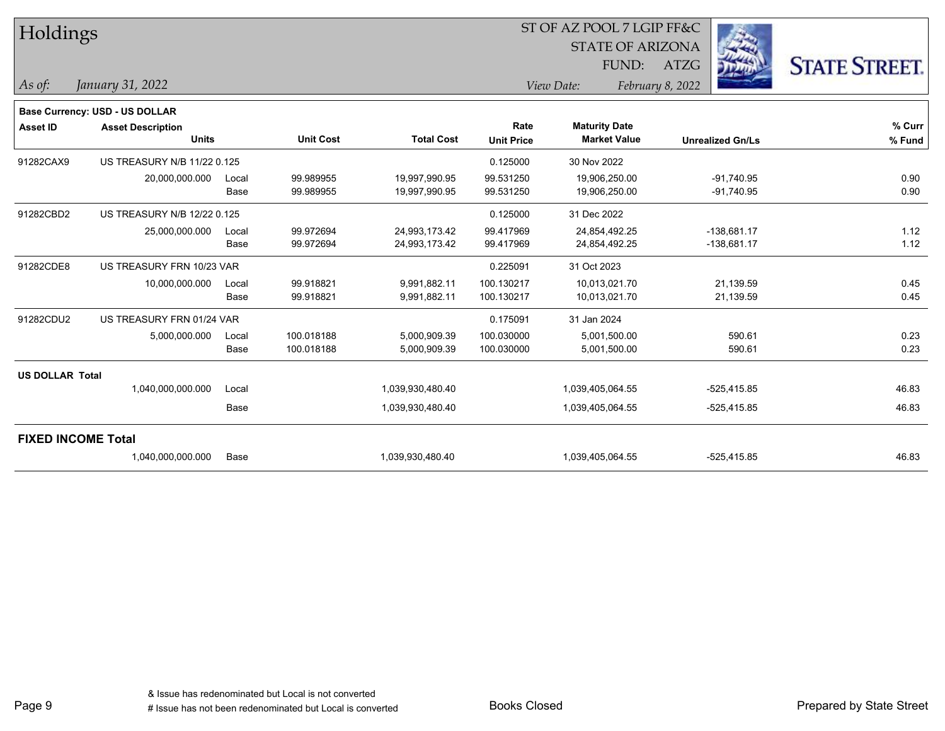| Holdings                  |                                       |       |                  |                   |                   | ST OF AZ POOL 7 LGIP FF&C |                  |                         |                      |
|---------------------------|---------------------------------------|-------|------------------|-------------------|-------------------|---------------------------|------------------|-------------------------|----------------------|
|                           |                                       |       |                  |                   |                   | <b>STATE OF ARIZONA</b>   |                  |                         |                      |
|                           |                                       |       |                  |                   |                   | FUND:                     | <b>ATZG</b>      |                         | <b>STATE STREET.</b> |
| As of:                    | January 31, 2022                      |       |                  |                   |                   | View Date:                | February 8, 2022 |                         |                      |
|                           | <b>Base Currency: USD - US DOLLAR</b> |       |                  |                   |                   |                           |                  |                         |                      |
| <b>Asset ID</b>           | <b>Asset Description</b>              |       |                  |                   | Rate              | <b>Maturity Date</b>      |                  |                         | % Curr               |
|                           | <b>Units</b>                          |       | <b>Unit Cost</b> | <b>Total Cost</b> | <b>Unit Price</b> | <b>Market Value</b>       |                  | <b>Unrealized Gn/Ls</b> | % Fund               |
| 91282CAX9                 | US TREASURY N/B 11/22 0.125           |       |                  |                   | 0.125000          | 30 Nov 2022               |                  |                         |                      |
|                           | 20,000,000.000                        | Local | 99.989955        | 19,997,990.95     | 99.531250         | 19,906,250.00             |                  | $-91,740.95$            | 0.90                 |
|                           |                                       | Base  | 99.989955        | 19,997,990.95     | 99.531250         | 19,906,250.00             |                  | $-91,740.95$            | 0.90                 |
| 91282CBD2                 | US TREASURY N/B 12/22 0.125           |       |                  |                   | 0.125000          | 31 Dec 2022               |                  |                         |                      |
|                           | 25,000,000.000                        | Local | 99.972694        | 24,993,173.42     | 99.417969         | 24,854,492.25             |                  | $-138,681.17$           | 1.12                 |
|                           |                                       | Base  | 99.972694        | 24,993,173.42     | 99.417969         | 24,854,492.25             |                  | $-138,681.17$           | 1.12                 |
| 91282CDE8                 | US TREASURY FRN 10/23 VAR             |       |                  |                   | 0.225091          | 31 Oct 2023               |                  |                         |                      |
|                           | 10,000,000.000                        | Local | 99.918821        | 9,991,882.11      | 100.130217        | 10,013,021.70             |                  | 21,139.59               | 0.45                 |
|                           |                                       | Base  | 99.918821        | 9,991,882.11      | 100.130217        | 10,013,021.70             |                  | 21,139.59               | 0.45                 |
| 91282CDU2                 | US TREASURY FRN 01/24 VAR             |       |                  |                   | 0.175091          | 31 Jan 2024               |                  |                         |                      |
|                           | 5,000,000.000                         | Local | 100.018188       | 5,000,909.39      | 100.030000        | 5,001,500.00              |                  | 590.61                  | 0.23                 |
|                           |                                       | Base  | 100.018188       | 5,000,909.39      | 100.030000        | 5,001,500.00              |                  | 590.61                  | 0.23                 |
| <b>US DOLLAR Total</b>    |                                       |       |                  |                   |                   |                           |                  |                         |                      |
|                           | 1,040,000,000.000                     | Local |                  | 1,039,930,480.40  |                   | 1,039,405,064.55          |                  | $-525,415.85$           | 46.83                |
|                           |                                       | Base  |                  | 1,039,930,480.40  |                   | 1,039,405,064.55          |                  | $-525,415.85$           | 46.83                |
| <b>FIXED INCOME Total</b> |                                       |       |                  |                   |                   |                           |                  |                         |                      |
|                           | 1,040,000,000.000                     | Base  |                  | 1,039,930,480.40  |                   | 1,039,405,064.55          |                  | $-525,415.85$           | 46.83                |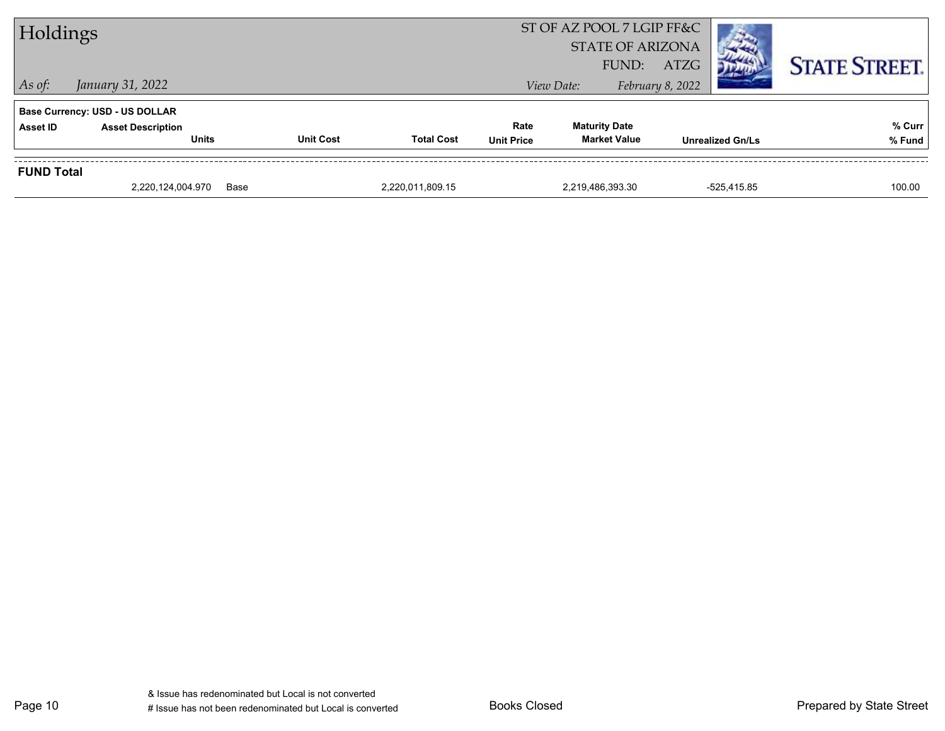| Holdings          |                                       |                  |                   |                   | ST OF AZ POOL 7 LGIP FF&C<br><b>STATE OF ARIZONA</b><br>FUND: | ATZG             |                         | <b>STATE STREET.</b> |
|-------------------|---------------------------------------|------------------|-------------------|-------------------|---------------------------------------------------------------|------------------|-------------------------|----------------------|
| $\vert$ As of:    | January 31, 2022                      |                  |                   |                   | View Date:                                                    | February 8, 2022 |                         |                      |
|                   | <b>Base Currency: USD - US DOLLAR</b> |                  |                   |                   |                                                               |                  |                         |                      |
| <b>Asset ID</b>   | <b>Asset Description</b>              |                  |                   | Rate              | <b>Maturity Date</b>                                          |                  |                         | % Curr               |
|                   | <b>Units</b>                          | <b>Unit Cost</b> | <b>Total Cost</b> | <b>Unit Price</b> | <b>Market Value</b>                                           |                  | <b>Unrealized Gn/Ls</b> | % Fund               |
| <b>FUND Total</b> |                                       |                  |                   |                   |                                                               |                  |                         |                      |
|                   | 2,220,124,004.970                     | Base             | 2,220,011,809.15  |                   | 2,219,486,393.30                                              |                  | -525.415.85             | 100.00               |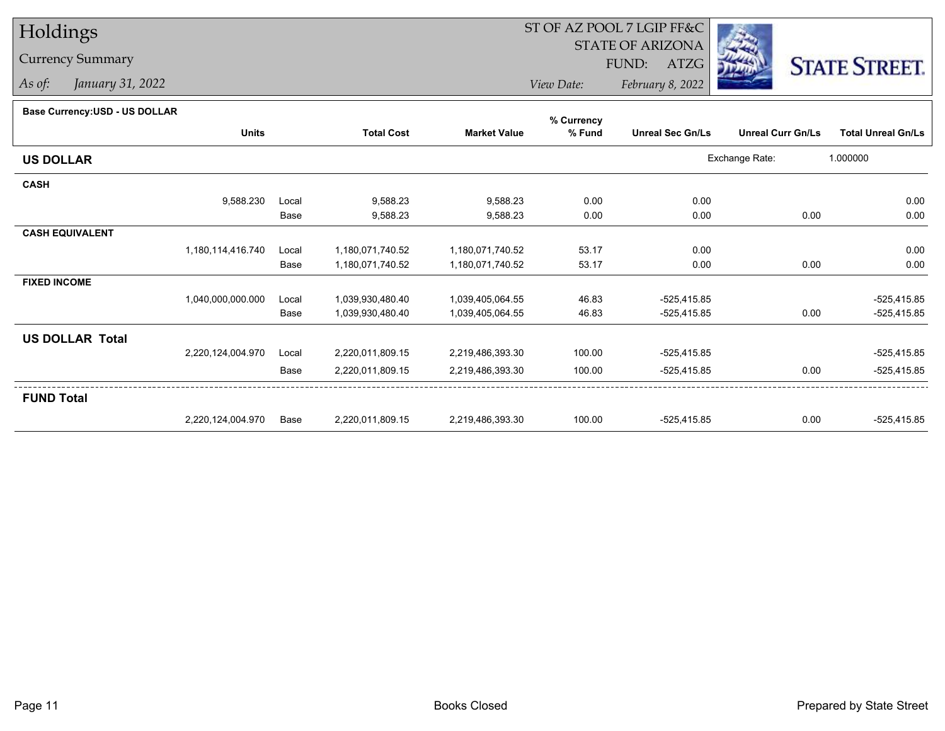## Holdings

## Currency Summary

*As of: January 31, 2022*

## ST OF AZ POOL 7 LGIP FF&C

STATE OF ARIZONA

FUND: ATZG



*View Date:February 8, 2022*

## **Base Currency:USD - US DOLLAR**

|                        |                   |       |                   |                     | % Currency |                         |                          |                           |
|------------------------|-------------------|-------|-------------------|---------------------|------------|-------------------------|--------------------------|---------------------------|
|                        | <b>Units</b>      |       | <b>Total Cost</b> | <b>Market Value</b> | % Fund     | <b>Unreal Sec Gn/Ls</b> | <b>Unreal Curr Gn/Ls</b> | <b>Total Unreal Gn/Ls</b> |
| <b>US DOLLAR</b>       |                   |       |                   |                     |            |                         | Exchange Rate:           | 1.000000                  |
| <b>CASH</b>            |                   |       |                   |                     |            |                         |                          |                           |
|                        | 9,588.230         | Local | 9,588.23          | 9,588.23            | 0.00       | 0.00                    |                          | 0.00                      |
|                        |                   | Base  | 9,588.23          | 9,588.23            | 0.00       | 0.00                    | 0.00                     | 0.00                      |
| <b>CASH EQUIVALENT</b> |                   |       |                   |                     |            |                         |                          |                           |
|                        | 1,180,114,416.740 | Local | 1,180,071,740.52  | 1,180,071,740.52    | 53.17      | 0.00                    |                          | 0.00                      |
|                        |                   | Base  | 1,180,071,740.52  | 1,180,071,740.52    | 53.17      | 0.00                    | 0.00                     | 0.00                      |
| <b>FIXED INCOME</b>    |                   |       |                   |                     |            |                         |                          |                           |
|                        | 1,040,000,000.000 | Local | 1,039,930,480.40  | 1,039,405,064.55    | 46.83      | $-525,415.85$           |                          | $-525,415.85$             |
|                        |                   | Base  | 1,039,930,480.40  | 1,039,405,064.55    | 46.83      | $-525,415.85$           | 0.00                     | $-525,415.85$             |
| <b>US DOLLAR Total</b> |                   |       |                   |                     |            |                         |                          |                           |
|                        | 2,220,124,004.970 | Local | 2,220,011,809.15  | 2,219,486,393.30    | 100.00     | $-525,415.85$           |                          | $-525,415.85$             |
|                        |                   | Base  | 2,220,011,809.15  | 2,219,486,393.30    | 100.00     | $-525,415.85$           | 0.00                     | $-525,415.85$             |
| <b>FUND Total</b>      |                   |       |                   |                     |            |                         |                          |                           |
|                        | 2,220,124,004.970 | Base  | 2,220,011,809.15  | 2,219,486,393.30    | 100.00     | $-525,415.85$           | 0.00                     | $-525,415.85$             |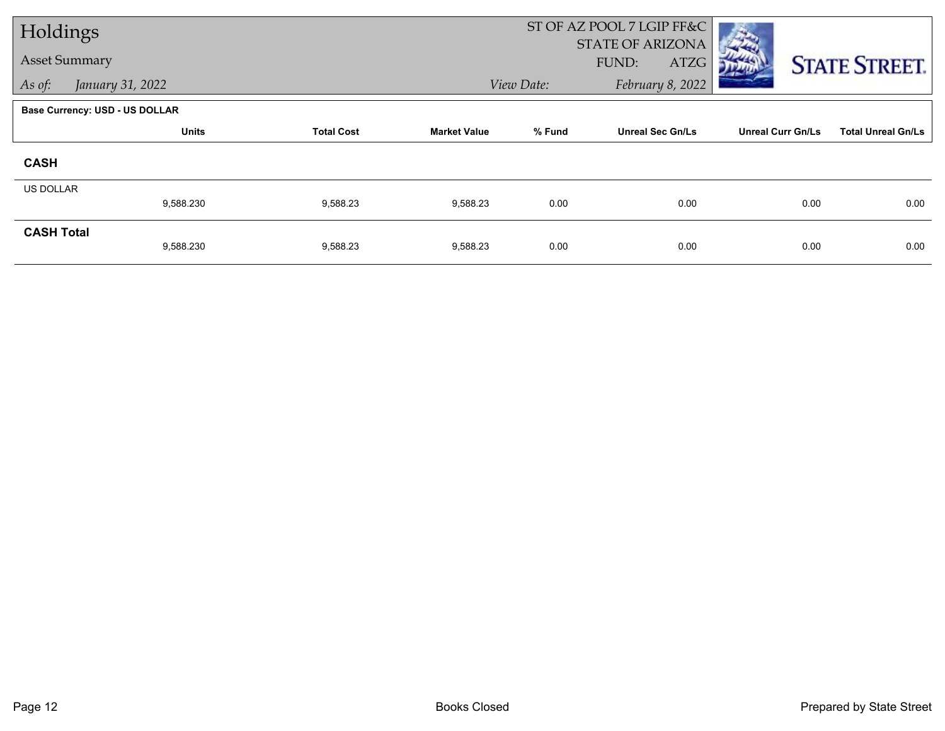| Holdings             |                                       |                   |                     | ST OF AZ POOL 7 LGIP FF&C |                         |                          |                           |
|----------------------|---------------------------------------|-------------------|---------------------|---------------------------|-------------------------|--------------------------|---------------------------|
| <b>Asset Summary</b> |                                       |                   |                     |                           | <b>STATE OF ARIZONA</b> |                          |                           |
|                      |                                       |                   |                     |                           | FUND:<br>ATZG           |                          | <b>STATE STREET.</b>      |
| As of:               | January 31, 2022                      |                   |                     | View Date:                | February 8, 2022        |                          |                           |
|                      | <b>Base Currency: USD - US DOLLAR</b> |                   |                     |                           |                         |                          |                           |
|                      | <b>Units</b>                          | <b>Total Cost</b> | <b>Market Value</b> | % Fund                    | <b>Unreal Sec Gn/Ls</b> | <b>Unreal Curr Gn/Ls</b> | <b>Total Unreal Gn/Ls</b> |
| <b>CASH</b>          |                                       |                   |                     |                           |                         |                          |                           |
| US DOLLAR            |                                       |                   |                     |                           |                         |                          |                           |
|                      | 9,588.230                             | 9,588.23          | 9,588.23            | 0.00                      | 0.00                    | 0.00                     | 0.00                      |
| <b>CASH Total</b>    |                                       |                   |                     |                           |                         |                          |                           |
|                      | 9,588.230                             | 9,588.23          | 9,588.23            | 0.00                      | 0.00                    | 0.00                     | 0.00                      |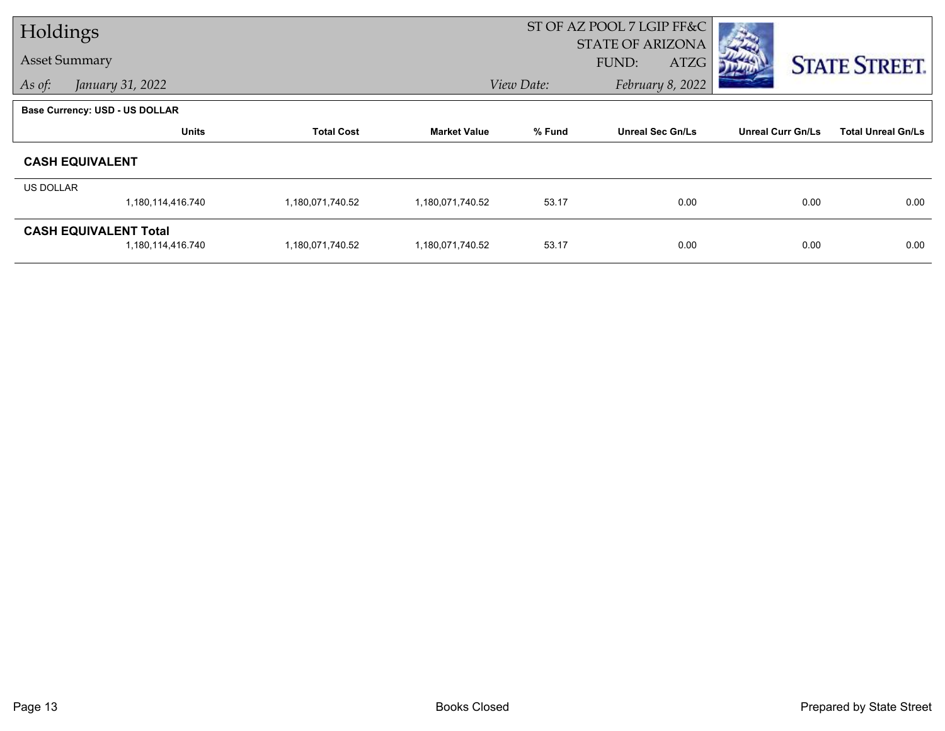| Holdings             |                                       |                   |                     | ST OF AZ POOL 7 LGIP FF&C |                         |                          |                           |  |
|----------------------|---------------------------------------|-------------------|---------------------|---------------------------|-------------------------|--------------------------|---------------------------|--|
| <b>Asset Summary</b> |                                       |                   |                     |                           | <b>STATE OF ARIZONA</b> |                          |                           |  |
|                      |                                       |                   |                     |                           | FUND:<br>ATZG           |                          | <b>STATE STREET.</b>      |  |
| As of:               | January 31, 2022                      |                   |                     | View Date:                | February 8, 2022        |                          |                           |  |
|                      | <b>Base Currency: USD - US DOLLAR</b> |                   |                     |                           |                         |                          |                           |  |
|                      | <b>Units</b>                          | <b>Total Cost</b> | <b>Market Value</b> | % Fund                    | <b>Unreal Sec Gn/Ls</b> | <b>Unreal Curr Gn/Ls</b> | <b>Total Unreal Gn/Ls</b> |  |
|                      | <b>CASH EQUIVALENT</b>                |                   |                     |                           |                         |                          |                           |  |
| <b>US DOLLAR</b>     |                                       |                   |                     |                           |                         |                          |                           |  |
|                      | 1,180,114,416.740                     | 1,180,071,740.52  | 1,180,071,740.52    | 53.17                     | 0.00                    | 0.00                     | 0.00                      |  |
|                      | <b>CASH EQUIVALENT Total</b>          |                   |                     |                           |                         |                          |                           |  |
|                      | 1,180,114,416.740                     | 1,180,071,740.52  | 1,180,071,740.52    | 53.17                     | 0.00                    | 0.00                     | 0.00                      |  |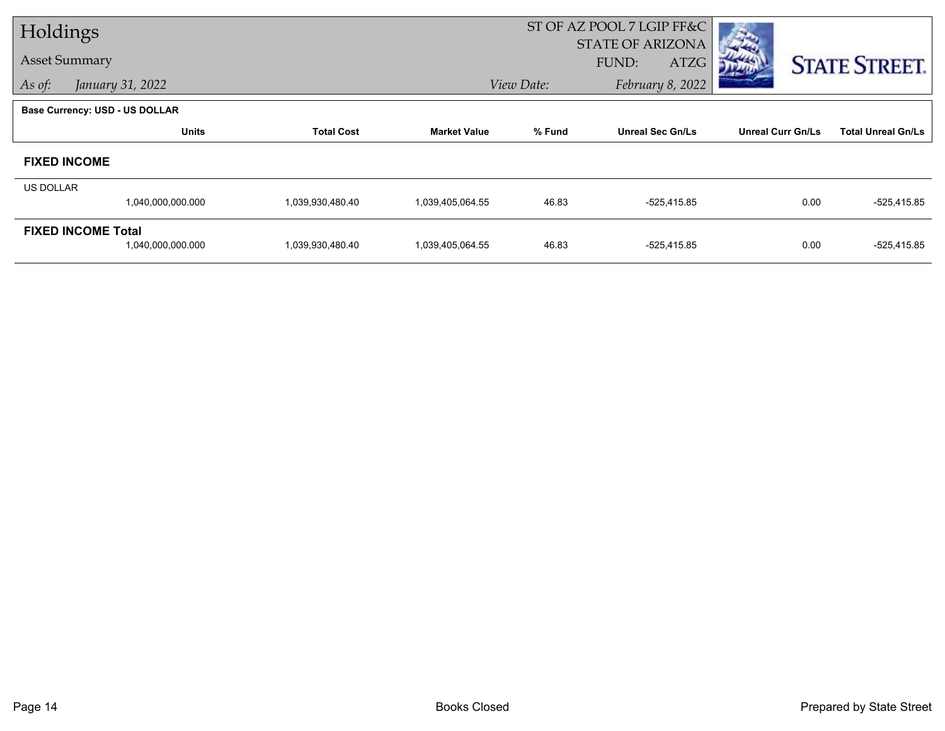| Holdings  |                                |                   |                     | ST OF AZ POOL 7 LGIP FF&C      |                         |                          |                           |
|-----------|--------------------------------|-------------------|---------------------|--------------------------------|-------------------------|--------------------------|---------------------------|
|           |                                |                   |                     |                                | <b>STATE OF ARIZONA</b> |                          |                           |
|           | <b>Asset Summary</b>           |                   |                     |                                | FUND:<br>ATZG           |                          | <b>STATE STREET.</b>      |
| As of:    | January 31, 2022               |                   |                     | View Date:<br>February 8, 2022 |                         |                          |                           |
|           | Base Currency: USD - US DOLLAR |                   |                     |                                |                         |                          |                           |
|           | <b>Units</b>                   | <b>Total Cost</b> | <b>Market Value</b> | % Fund                         | <b>Unreal Sec Gn/Ls</b> | <b>Unreal Curr Gn/Ls</b> | <b>Total Unreal Gn/Ls</b> |
|           | <b>FIXED INCOME</b>            |                   |                     |                                |                         |                          |                           |
| US DOLLAR |                                |                   |                     |                                |                         |                          |                           |
|           | 1,040,000,000.000              | 1,039,930,480.40  | 1,039,405,064.55    | 46.83                          | -525,415.85             | 0.00                     | $-525,415.85$             |
|           | <b>FIXED INCOME Total</b>      |                   |                     |                                |                         |                          |                           |
|           | 1,040,000,000.000              | 1,039,930,480.40  | 1,039,405,064.55    | 46.83                          | -525,415.85             | 0.00                     | $-525,415.85$             |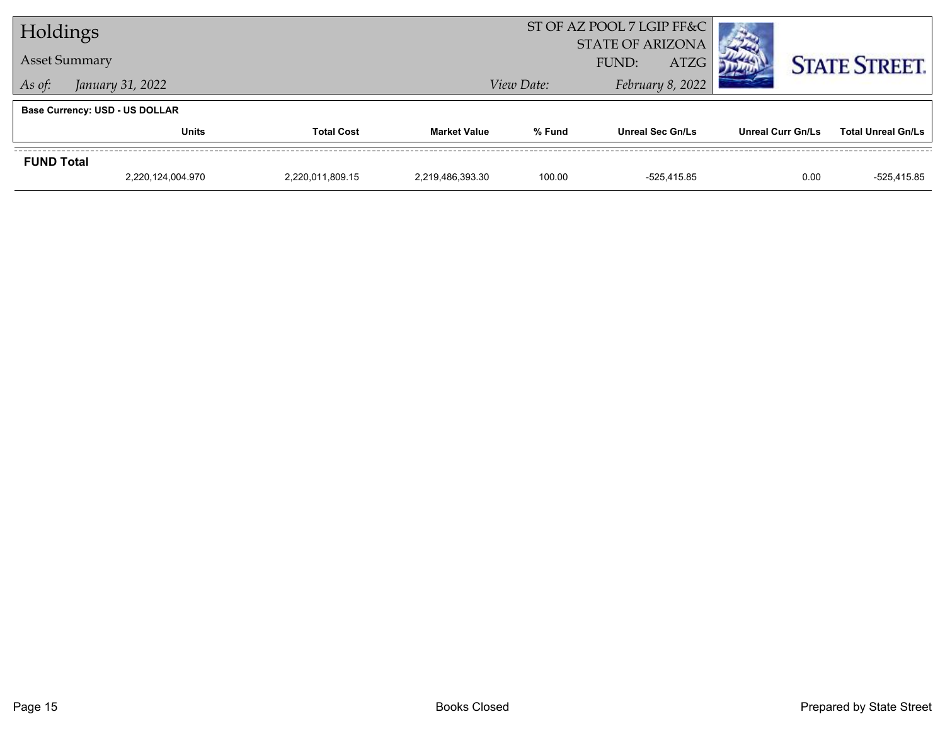| Holdings          |                                       |  |                     | ST OF AZ POOL 7 LGIP FF&C<br><b>STATE OF ARIZONA</b> |                         |                          |                           |
|-------------------|---------------------------------------|--|---------------------|------------------------------------------------------|-------------------------|--------------------------|---------------------------|
|                   | <b>Asset Summary</b>                  |  |                     | <b>ATZG</b><br>FUND:                                 |                         |                          | <b>STATE STREET.</b>      |
| As of:            | January 31, 2022                      |  |                     | View Date:                                           | February 8, 2022        |                          |                           |
|                   | <b>Base Currency: USD - US DOLLAR</b> |  |                     |                                                      |                         |                          |                           |
|                   | <b>Units</b><br><b>Total Cost</b>     |  | <b>Market Value</b> | % Fund                                               | <b>Unreal Sec Gn/Ls</b> | <b>Unreal Curr Gn/Ls</b> | <b>Total Unreal Gn/Ls</b> |
| <b>FUND Total</b> |                                       |  |                     |                                                      |                         |                          |                           |
|                   | 2,220,124,004.970<br>2,220,011,809.15 |  | 2.219.486.393.30    | 100.00                                               | -525.415.85             | 0.00                     | -525.415.85               |